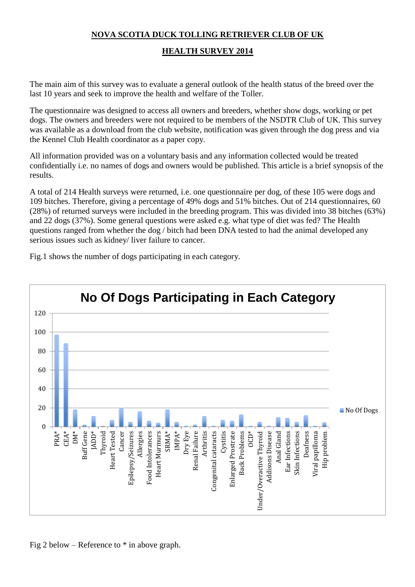# **NOVA SCOTIA DUCK TOLLING RETRIEVER CLUB OF UK**

## **HEALTH SURVEY 2014**

The main aim of this survey was to evaluate a general outlook of the health status of the breed over the last 10 years and seek to improve the health and welfare of the Toller.

The questionnaire was designed to access all owners and breeders, whether show dogs, working or pet dogs. The owners and breeders were not required to be members of the NSDTR Club of UK. This survey was available as a download from the club website, notification was given through the dog press and via the Kennel Club Health coordinator as a paper copy.

All information provided was on a voluntary basis and any information collected would be treated confidentially i.e. no names of dogs and owners would be published. This article is a brief synopsis of the results.

A total of 214 Health surveys were returned, i.e. one questionnaire per dog, of these 105 were dogs and 109 bitches. Therefore, giving a percentage of 49% dogs and 51% bitches. Out of 214 questionnaires, 60 (28%) of returned surveys were included in the breeding program. This was divided into 38 bitches (63%) and 22 dogs (37%). Some general questions were asked e.g. what type of diet was fed? The Health questions ranged from whether the dog / bitch had been DNA tested to had the animal developed any serious issues such as kidney/ liver failure to cancer.

Fig.1 shows the number of dogs participating in each category.

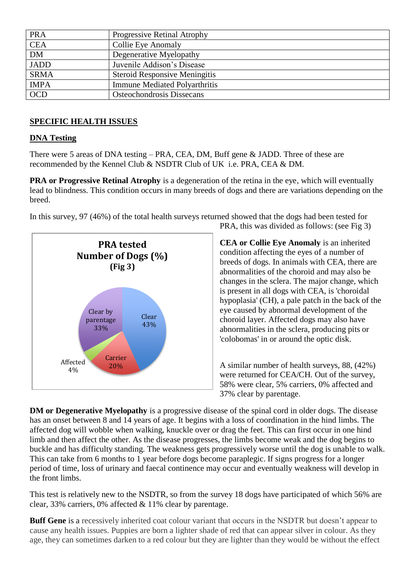| <b>PRA</b>  | Progressive Retinal Atrophy          |
|-------------|--------------------------------------|
| <b>CEA</b>  | Collie Eye Anomaly                   |
| <b>DM</b>   | Degenerative Myelopathy              |
| <b>JADD</b> | Juvenile Addison's Disease           |
| <b>SRMA</b> | <b>Steroid Responsive Meningitis</b> |
| <b>IMPA</b> | <b>Immune Mediated Polyarthritis</b> |
| <b>OCD</b>  | Osteochondrosis Dissecans            |

### **SPECIFIC HEALTH ISSUES**

#### **DNA Testing**

There were 5 areas of DNA testing – PRA, CEA, DM, Buff gene & JADD. Three of these are recommended by the Kennel Club & NSDTR Club of UK i.e. PRA, CEA & DM.

**PRA or Progressive Retinal Atrophy** is a degeneration of the retina in the eye, which will eventually lead to blindness. This condition occurs in many breeds of dogs and there are variations depending on the breed.

In this survey, 97 (46%) of the total health surveys returned showed that the dogs had been tested for



PRA, this was divided as follows: (see Fig 3)

**CEA or Collie Eye Anomaly** is an inherited condition affecting the eyes of a number of breeds of dogs. In animals with CEA, there are abnormalities of the choroid and may also be changes in the sclera. The major change, which is present in all dogs with CEA, is 'choroidal hypoplasia' (CH), a pale patch in the back of the eye caused by abnormal development of the choroid layer. Affected dogs may also have abnormalities in the sclera, producing pits or 'colobomas' in or around the optic disk.

A similar number of health surveys, 88, (42%) were returned for CEA/CH. Out of the survey, 58% were clear, 5% carriers, 0% affected and 37% clear by parentage.

**DM or Degenerative Myelopathy** is a progressive disease of the spinal cord in older dogs. The disease has an onset between 8 and 14 years of age. It begins with a loss of coordination in the hind limbs. The affected dog will wobble when walking, knuckle over or drag the feet. This can first occur in one hind limb and then affect the other. As the disease progresses, the limbs become weak and the dog begins to buckle and has difficulty standing. The weakness gets progressively worse until the dog is unable to walk. This can take from 6 months to 1 year before dogs become paraplegic. If signs progress for a longer period of time, loss of urinary and faecal continence may occur and eventually weakness will develop in the front limbs.

This test is relatively new to the NSDTR, so from the survey 18 dogs have participated of which 56% are clear, 33% carriers, 0% affected & 11% clear by parentage.

**Buff Gene** is a recessively inherited coat colour variant that occurs in the NSDTR but doesn't appear to cause any health issues. Puppies are born a lighter shade of red that can appear silver in colour. As they age, they can sometimes darken to a red colour but they are lighter than they would be without the effect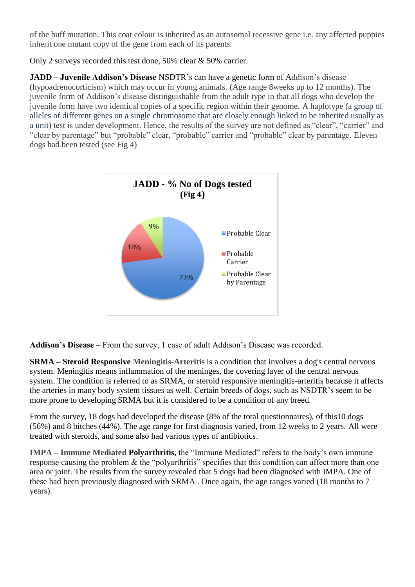of the buff mutation. This coat colour is inherited as an autosomal recessive gene i.e. any affected puppies inherit one mutant copy of the gene from each of its parents.

Only 2 surveys recorded this test done, 50% clear & 50% carrier.

**JADD – Juvenile Addison's Disease** NSDTR's can have a genetic form of Addison's disease (hypoadrenocorticism) which may occur in young animals. (Age range 8weeks up to 12 months). The juvenile form of Addison's disease distinguishable from the adult type in that all dogs who develop the juvenile form have two identical copies of a specific region within their genome. A haplotype (a group of alleles of different genes on a single chromosome that are closely enough linked to be inherited usually as a unit) test is under development. Hence, the results of the survey are not defined as "clear", "carrier" and "clear by parentage" but "probable" clear, "probable" carrier and "probable" clear by parentage. Eleven dogs had been tested (see Fig 4)



**Addison's Disease –** From the survey, 1 case of adult Addison's Disease was recorded.

**SRMA – Steroid Responsive Meningitis-Arteritis** is a condition that involves a dog's central nervous system. Meningitis means inflammation of the meninges, the covering layer of the central nervous system. The condition is referred to as SRMA, or steroid responsive meningitis-arteritis because it affects the arteries in many body system tissues as well. Certain breeds of dogs, such as NSDTR's seem to be more prone to developing SRMA but it is considered to be a condition of any breed.

From the survey, 18 dogs had developed the disease (8% of the total questionnaires), of this10 dogs (56%) and 8 bitches (44%). The age range for first diagnosis varied, from 12 weeks to 2 years. All were treated with steroids, and some also had various types of antibiotics.

**IMPA – Immune Mediated Polyarthritis,** the "Immune Mediated" refers to the body's own immune response causing the problem & the "polyarthritis" specifies that this condition can affect more than one area or joint. The results from the survey revealed that 5 dogs had been diagnosed with IMPA. One of these had been previously diagnosed with SRMA . Once again, the age ranges varied (18 months to 7 years).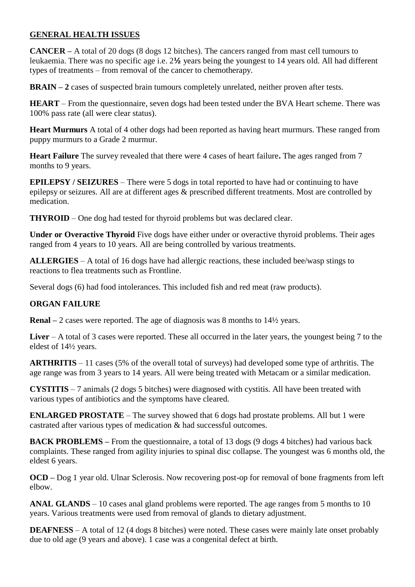### **GENERAL HEALTH ISSUES**

**CANCER –** A total of 20 dogs (8 dogs 12 bitches). The cancers ranged from mast cell tumours to leukaemia. There was no specific age i.e. 2**½** years being the youngest to 14 years old. All had different types of treatments – from removal of the cancer to chemotherapy.

**BRAIN – 2** cases of suspected brain tumours completely unrelated, neither proven after tests.

**HEART** – From the questionnaire, seven dogs had been tested under the BVA Heart scheme. There was 100% pass rate (all were clear status).

**Heart Murmurs** A total of 4 other dogs had been reported as having heart murmurs. These ranged from puppy murmurs to a Grade 2 murmur.

**Heart Failure** The survey revealed that there were 4 cases of heart failure**.** The ages ranged from 7 months to 9 years.

**EPILEPSY / SEIZURES** – There were 5 dogs in total reported to have had or continuing to have epilepsy or seizures. All are at different ages & prescribed different treatments. Most are controlled by medication.

**THYROID** – One dog had tested for thyroid problems but was declared clear.

**Under or Overactive Thyroid** Five dogs have either under or overactive thyroid problems. Their ages ranged from 4 years to 10 years. All are being controlled by various treatments.

**ALLERGIES** – A total of 16 dogs have had allergic reactions, these included bee/wasp stings to reactions to flea treatments such as Frontline.

Several dogs (6) had food intolerances. This included fish and red meat (raw products).

## **ORGAN FAILURE**

**Renal** – 2 cases were reported. The age of diagnosis was 8 months to 14<sup> $\frac{1}{2}$ </sup> years.

**Liver** – A total of 3 cases were reported. These all occurred in the later years, the youngest being 7 to the eldest of 14½ years.

**ARTHRITIS** – 11 cases (5% of the overall total of surveys) had developed some type of arthritis. The age range was from 3 years to 14 years. All were being treated with Metacam or a similar medication.

**CYSTITIS** – 7 animals (2 dogs 5 bitches) were diagnosed with cystitis. All have been treated with various types of antibiotics and the symptoms have cleared.

**ENLARGED PROSTATE** – The survey showed that 6 dogs had prostate problems. All but 1 were castrated after various types of medication & had successful outcomes.

**BACK PROBLEMS –** From the questionnaire, a total of 13 dogs (9 dogs 4 bitches) had various back complaints. These ranged from agility injuries to spinal disc collapse. The youngest was 6 months old, the eldest 6 years.

**OCD –** Dog 1 year old. Ulnar Sclerosis. Now recovering post-op for removal of bone fragments from left elbow.

**ANAL GLANDS** – 10 cases anal gland problems were reported. The age ranges from 5 months to 10 years. Various treatments were used from removal of glands to dietary adjustment.

**DEAFNESS** – A total of 12 (4 dogs 8 bitches) were noted. These cases were mainly late onset probably due to old age (9 years and above). 1 case was a congenital defect at birth.